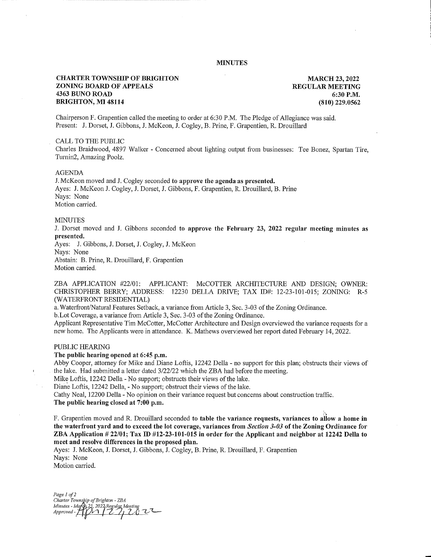# MINUTES

# CHARTER TOWNSHIP OF BRIGHTON ZONING BOARD OF APPEALS 4363 BUNO ROAD BRIGHTON, MI 48114

MARCH 23, 2022 REGULAR MEETING 6:30 P.M. (810) 229.0562

Chairperson F. Grapentien called the meeting to order at 6:30 P.M. The Pledge of Allegiance was said. Present: J. Dorset, J. Gibbons, J. McKeon, J. Cogley, B. Prine, F. Grapentien, R. Drouillard

### CALL TO THE PUBLIC

Charles Braidwood, 4897 Walker - Concerned about lighting output from businesses: Tee Bonez, Spartan Tire, Turning, Amazing Poolz.

### AGENDA

J. McKeon moved and J. Cogley seconded to approve the agenda as presented. Ayes: J. McKeon J. Cogley, J. Dorset, J. Gibbons, F. Grapentien, R. Drouillard, B. Prine Nays: None Motion carried.

## **MINUTES**

J. Dorset moved and J. Gibbons seconded to approve the February 23, 2022 regular meeting minutes as presented.

Ayes: J. Gibbons, J. Dorset, J. Cogley, J. McKeon Nays: None

Abstain: B. Prine, R. Drouillard, F. Grapentien Motion carried.

ZBA APPLICATION #22/01: APPLICANT: McCOTTER ARCHITECTURE AND DESIGN; OWNER: CHRISTOPHER BERRY; ADDRESS: 12230 DELLA DRIVE; TAX ID#: 12-23-101-015; ZONING: R-5 (WATERFRONT RESIDENTIAL)

a. Waterfront/Natural Features Setback, a variance from Article 3, Sec. 3-03 of the Zoning Ordinance.

b.Lot Coverage, a variance from Article 3, Sec. 3-03 of the Zoning Ordinance.

Applicant Representative Tim McCotter, McCotter Architecture and Design overviewed the variance requests for a new home. The Applicants were in attendance. K. Mathews overviewed her report dated February 14, 2022.

#### PUBLIC HEARING

# The public hearing opened at 6:45 p.m.

Abby Cooper, attorney for Mike and Diane Loftis, 12242 Della - no support for this plan; obstructs their views of the lake. Had submitted a letter dated 3/22/22 which the ZBA had before the meeting.

Mike Loftis, 12242 Della - No support; obstructs their views of the lake.

Diane Loftis, 12242 Della, - No support; obstruct their views of the lake.

Cathy Neal, 12200 Della - No opinion on their variance request but concerns about construction traffic.

The public hearing closed at 7:00 p.m.

F. Grapentien moved and R. Drouillard seconded to table the variance requests, variances to allow a home in the waterfront yard and to exceed the lot coverage, variances from Section 3-03 of the Zoning Ordinance for ZBA Application # 22/01; Tax ID #12-23-101-015 in order for the Applicant and neighbor at 12242 Della to meet and resolve differences in the proposed plan.

Ayes: J. McKeon, J. Dorset, J. Gibbons, J. Cogley, B. Prine, R. Drouillard, F. Grapentien Nays: None

Motion carried.

Page 1 of 2 Charter Township of Brighton - ZBA Minutes - March 23, 2022 Regular Meeting<br>Approved - HYM 1771 20